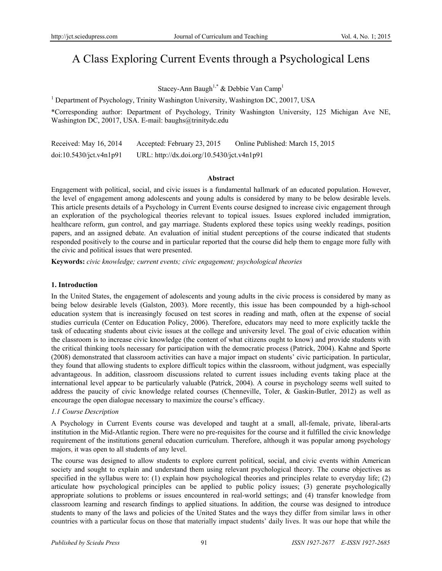# A Class Exploring Current Events through a Psychological Lens

Stacey-Ann Baugh<sup>1,\*</sup> & Debbie Van Camp<sup>1</sup>

<sup>1</sup> Department of Psychology, Trinity Washington University, Washington DC, 20017, USA

\*Corresponding author: Department of Psychology, Trinity Washington University, 125 Michigan Ave NE, Washington DC, 20017, USA. E-mail: baughs@trinitydc.edu

Received: May 16, 2014 Accepted: February 23, 2015 Online Published: March 15, 2015 doi:10.5430/jct.v4n1p91 URL: http://dx.doi.org/10.5430/jct.v4n1p91

#### **Abstract**

Engagement with political, social, and civic issues is a fundamental hallmark of an educated population. However, the level of engagement among adolescents and young adults is considered by many to be below desirable levels. This article presents details of a Psychology in Current Events course designed to increase civic engagement through an exploration of the psychological theories relevant to topical issues. Issues explored included immigration, healthcare reform, gun control, and gay marriage. Students explored these topics using weekly readings, position papers, and an assigned debate. An evaluation of initial student perceptions of the course indicated that students responded positively to the course and in particular reported that the course did help them to engage more fully with the civic and political issues that were presented.

**Keywords:** *civic knowledge; current events; civic engagement; psychological theories*

#### **1. Introduction**

In the United States, the engagement of adolescents and young adults in the civic process is considered by many as being below desirable levels (Galston, 2003). More recently, this issue has been compounded by a high-school education system that is increasingly focused on test scores in reading and math, often at the expense of social studies curricula (Center on Education Policy, 2006). Therefore, educators may need to more explicitly tackle the task of educating students about civic issues at the college and university level. The goal of civic education within the classroom is to increase civic knowledge (the content of what citizens ought to know) and provide students with the critical thinking tools necessary for participation with the democratic process (Patrick, 2004). Kahne and Sporte (2008) demonstrated that classroom activities can have a major impact on students' civic participation. In particular, they found that allowing students to explore difficult topics within the classroom, without judgment, was especially advantageous. In addition, classroom discussions related to current issues including events taking place at the international level appear to be particularly valuable (Patrick, 2004). A course in psychology seems well suited to address the paucity of civic knowledge related courses (Chenneville, Toler, & Gaskin-Butler, 2012) as well as encourage the open dialogue necessary to maximize the course's efficacy.

## *1.1 Course Description*

A Psychology in Current Events course was developed and taught at a small, all-female, private, liberal-arts institution in the Mid-Atlantic region. There were no pre-requisites for the course and it fulfilled the civic knowledge requirement of the institutions general education curriculum. Therefore, although it was popular among psychology majors, it was open to all students of any level.

The course was designed to allow students to explore current political, social, and civic events within American society and sought to explain and understand them using relevant psychological theory. The course objectives as specified in the syllabus were to: (1) explain how psychological theories and principles relate to everyday life; (2) articulate how psychological principles can be applied to public policy issues; (3) generate psychologically appropriate solutions to problems or issues encountered in real-world settings; and (4) transfer knowledge from classroom learning and research findings to applied situations. In addition, the course was designed to introduce students to many of the laws and policies of the United States and the ways they differ from similar laws in other countries with a particular focus on those that materially impact students' daily lives. It was our hope that while the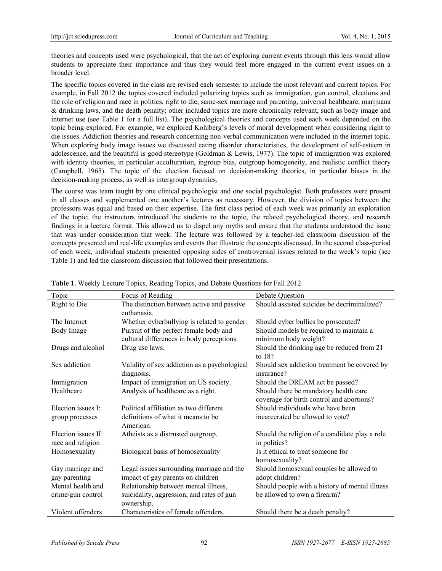theories and concepts used were psychological, that the act of exploring current events through this lens would allow students to appreciate their importance and thus they would feel more engaged in the current event issues on a broader level.

The specific topics covered in the class are revised each semester to include the most relevant and current topics. For example, in Fall 2012 the topics covered included polarizing topics such as immigration, gun control, elections and the role of religion and race in politics, right to die, same-sex marriage and parenting, universal healthcare, marijuana & drinking laws, and the death penalty; other included topics are more chronically relevant, such as body image and internet use (see Table 1 for a full list). The psychological theories and concepts used each week depended on the topic being explored. For example, we explored Kohlberg's levels of moral development when considering right to die issues. Addiction theories and research concerning non-verbal communication were included in the internet topic. When exploring body image issues we discussed eating disorder characteristics, the development of self-esteem in adolescence, and the beautiful is good stereotype (Goldman & Lewis, 1977). The topic of immigration was explored with identity theories, in particular acculturation, ingroup bias, outgroup homogeneity, and realistic conflict theory (Campbell, 1965). The topic of the election focused on decision-making theories, in particular biases in the decision-making process, as well as intergroup dynamics.

The course was team taught by one clinical psychologist and one social psychologist. Both professors were present in all classes and supplemented one another's lectures as necessary. However, the division of topics between the professors was equal and based on their expertise. The first class period of each week was primarily an exploration of the topic; the instructors introduced the students to the topic, the related psychological theory, and research findings in a lecture format. This allowed us to dispel any myths and ensure that the students understood the issue that was under consideration that week. The lecture was followed by a teacher-led classroom discussion of the concepts presented and real-life examples and events that illustrate the concepts discussed. In the second class-period of each week, individual students presented opposing sides of controversial issues related to the week's topic (see Table 1) and led the classroom discussion that followed their presentations.

| Topic                                    | Focus of Reading                                                                    | <b>Debate Question</b>                                                             |
|------------------------------------------|-------------------------------------------------------------------------------------|------------------------------------------------------------------------------------|
| Right to Die                             | The distinction between active and passive<br>euthanasia.                           | Should assisted suicides be decriminalized?                                        |
| The Internet                             | Whether cyberbullying is related to gender.                                         | Should cyber bullies be prosecuted?                                                |
| Body Image                               | Pursuit of the perfect female body and<br>cultural differences in body perceptions. | Should models be required to maintain a<br>minimum body weight?                    |
| Drugs and alcohol                        | Drug use laws.                                                                      | Should the drinking age be reduced from 21<br>to $18$ ?                            |
| Sex addiction                            | Validity of sex addiction as a psychological<br>diagnosis.                          | Should sex addiction treatment be covered by<br>insurance?                         |
| Immigration                              | Impact of immigration on US society.                                                | Should the DREAM act be passed?                                                    |
| Healthcare                               | Analysis of healthcare as a right.                                                  | Should there be mandatory health care<br>coverage for birth control and abortions? |
| Election issues I:                       | Political affiliation as two different                                              | Should individuals who have been                                                   |
| group processes                          | definitions of what it means to be<br>American.                                     | incarcerated be allowed to vote?                                                   |
| Election issues II:<br>race and religion | Atheists as a distrusted outgroup.                                                  | Should the religion of a candidate play a role<br>in politics?                     |
| Homosexuality                            | Biological basis of homosexuality                                                   | Is it ethical to treat someone for<br>homosexuality?                               |
| Gay marriage and                         | Legal issues surrounding marriage and the                                           | Should homosexual couples be allowed to                                            |
| gay parenting                            | impact of gay parents on children                                                   | adopt children?                                                                    |
| Mental health and                        | Relationship between mental illness,                                                | Should people with a history of mental illness                                     |
| crime/gun control                        | suicidality, aggression, and rates of gun<br>ownership.                             | be allowed to own a firearm?                                                       |
| Violent offenders                        | Characteristics of female offenders.                                                | Should there be a death penalty?                                                   |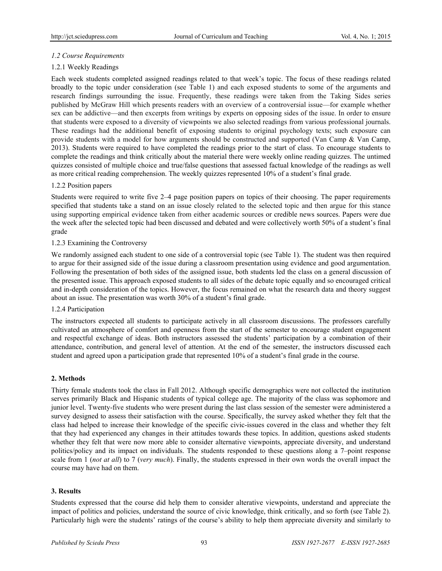# *1.2 Course Requirements*

# 1.2.1 Weekly Readings

Each week students completed assigned readings related to that week's topic. The focus of these readings related broadly to the topic under consideration (see Table 1) and each exposed students to some of the arguments and research findings surrounding the issue. Frequently, these readings were taken from the Taking Sides series published by McGraw Hill which presents readers with an overview of a controversial issue—for example whether sex can be addictive—and then excerpts from writings by experts on opposing sides of the issue. In order to ensure that students were exposed to a diversity of viewpoints we also selected readings from various professional journals. These readings had the additional benefit of exposing students to original psychology texts; such exposure can provide students with a model for how arguments should be constructed and supported (Van Camp & Van Camp, 2013). Students were required to have completed the readings prior to the start of class. To encourage students to complete the readings and think critically about the material there were weekly online reading quizzes. The untimed quizzes consisted of multiple choice and true/false questions that assessed factual knowledge of the readings as well as more critical reading comprehension. The weekly quizzes represented 10% of a student's final grade.

## 1.2.2 Position papers

Students were required to write five 2–4 page position papers on topics of their choosing. The paper requirements specified that students take a stand on an issue closely related to the selected topic and then argue for this stance using supporting empirical evidence taken from either academic sources or credible news sources. Papers were due the week after the selected topic had been discussed and debated and were collectively worth 50% of a student's final grade

## 1.2.3 Examining the Controversy

We randomly assigned each student to one side of a controversial topic (see Table 1). The student was then required to argue for their assigned side of the issue during a classroom presentation using evidence and good argumentation. Following the presentation of both sides of the assigned issue, both students led the class on a general discussion of the presented issue. This approach exposed students to all sides of the debate topic equally and so encouraged critical and in-depth consideration of the topics. However, the focus remained on what the research data and theory suggest about an issue. The presentation was worth 30% of a student's final grade.

## 1.2.4 Participation

The instructors expected all students to participate actively in all classroom discussions. The professors carefully cultivated an atmosphere of comfort and openness from the start of the semester to encourage student engagement and respectful exchange of ideas. Both instructors assessed the students' participation by a combination of their attendance, contribution, and general level of attention. At the end of the semester, the instructors discussed each student and agreed upon a participation grade that represented 10% of a student's final grade in the course.

## **2. Methods**

Thirty female students took the class in Fall 2012. Although specific demographics were not collected the institution serves primarily Black and Hispanic students of typical college age. The majority of the class was sophomore and junior level. Twenty-five students who were present during the last class session of the semester were administered a survey designed to assess their satisfaction with the course. Specifically, the survey asked whether they felt that the class had helped to increase their knowledge of the specific civic-issues covered in the class and whether they felt that they had experienced any changes in their attitudes towards these topics. In addition, questions asked students whether they felt that were now more able to consider alternative viewpoints, appreciate diversity, and understand politics/policy and its impact on individuals. The students responded to these questions along a 7–point response scale from 1 (*not at all*) to 7 (*very much*). Finally, the students expressed in their own words the overall impact the course may have had on them.

## **3. Results**

Students expressed that the course did help them to consider alterative viewpoints, understand and appreciate the impact of politics and policies, understand the source of civic knowledge, think critically, and so forth (see Table 2). Particularly high were the students' ratings of the course's ability to help them appreciate diversity and similarly to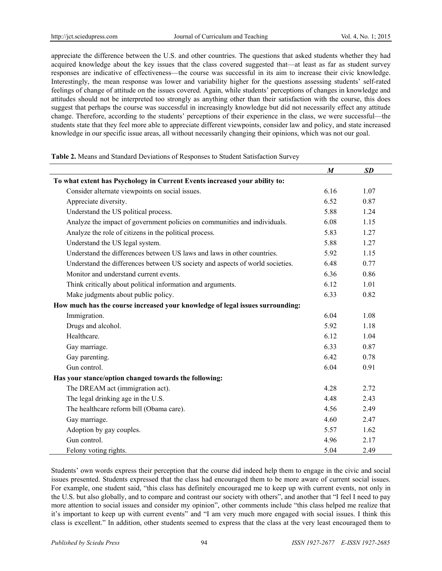appreciate the difference between the U.S. and other countries. The questions that asked students whether they had acquired knowledge about the key issues that the class covered suggested that—at least as far as student survey responses are indicative of effectiveness—the course was successful in its aim to increase their civic knowledge. Interestingly, the mean response was lower and variability higher for the questions assessing students' self-rated feelings of change of attitude on the issues covered. Again, while students' perceptions of changes in knowledge and attitudes should not be interpreted too strongly as anything other than their satisfaction with the course, this does suggest that perhaps the course was successful in increasingly knowledge but did not necessarily effect any attitude change. Therefore, according to the students' perceptions of their experience in the class, we were successful—the students state that they feel more able to appreciate different viewpoints, consider law and policy, and state increased knowledge in our specific issue areas, all without necessarily changing their opinions, which was not our goal.

|  | Table 2. Means and Standard Deviations of Responses to Student Satisfaction Survey |
|--|------------------------------------------------------------------------------------|
|--|------------------------------------------------------------------------------------|

|                                                                               | $\boldsymbol{M}$ | <b>SD</b> |
|-------------------------------------------------------------------------------|------------------|-----------|
| To what extent has Psychology in Current Events increased your ability to:    |                  |           |
| Consider alternate viewpoints on social issues.                               | 6.16             | 1.07      |
| Appreciate diversity.                                                         | 6.52             | 0.87      |
| Understand the US political process.                                          | 5.88             | 1.24      |
| Analyze the impact of government policies on communities and individuals.     | 6.08             | 1.15      |
| Analyze the role of citizens in the political process.                        | 5.83             | 1.27      |
| Understand the US legal system.                                               |                  | 1.27      |
| Understand the differences between US laws and laws in other countries.       |                  | 1.15      |
| Understand the differences between US society and aspects of world societies. | 6.48             | 0.77      |
| Monitor and understand current events.                                        | 6.36             | 0.86      |
| Think critically about political information and arguments.                   | 6.12             | 1.01      |
| Make judgments about public policy.                                           | 6.33             | 0.82      |
| How much has the course increased your knowledge of legal issues surrounding: |                  |           |
| Immigration.                                                                  | 6.04             | 1.08      |
| Drugs and alcohol.                                                            | 5.92             | 1.18      |
| Healthcare.                                                                   | 6.12             | 1.04      |
| Gay marriage.                                                                 | 6.33             | 0.87      |
| Gay parenting.                                                                | 6.42             | 0.78      |
| Gun control.                                                                  | 6.04             | 0.91      |
| Has your stance/option changed towards the following:                         |                  |           |
| The DREAM act (immigration act).                                              | 4.28             | 2.72      |
| The legal drinking age in the U.S.                                            | 4.48             | 2.43      |
| The healthcare reform bill (Obama care).                                      | 4.56             | 2.49      |
| Gay marriage.                                                                 | 4.60             | 2.47      |
| Adoption by gay couples.                                                      |                  | 1.62      |
| Gun control.                                                                  |                  | 2.17      |
| Felony voting rights.                                                         | 5.04             | 2.49      |

Students' own words express their perception that the course did indeed help them to engage in the civic and social issues presented. Students expressed that the class had encouraged them to be more aware of current social issues. For example, one student said, "this class has definitely encouraged me to keep up with current events, not only in the U.S. but also globally, and to compare and contrast our society with others", and another that "I feel I need to pay more attention to social issues and consider my opinion", other comments include "this class helped me realize that it's important to keep up with current events" and "I am very much more engaged with social issues. I think this class is excellent." In addition, other students seemed to express that the class at the very least encouraged them to